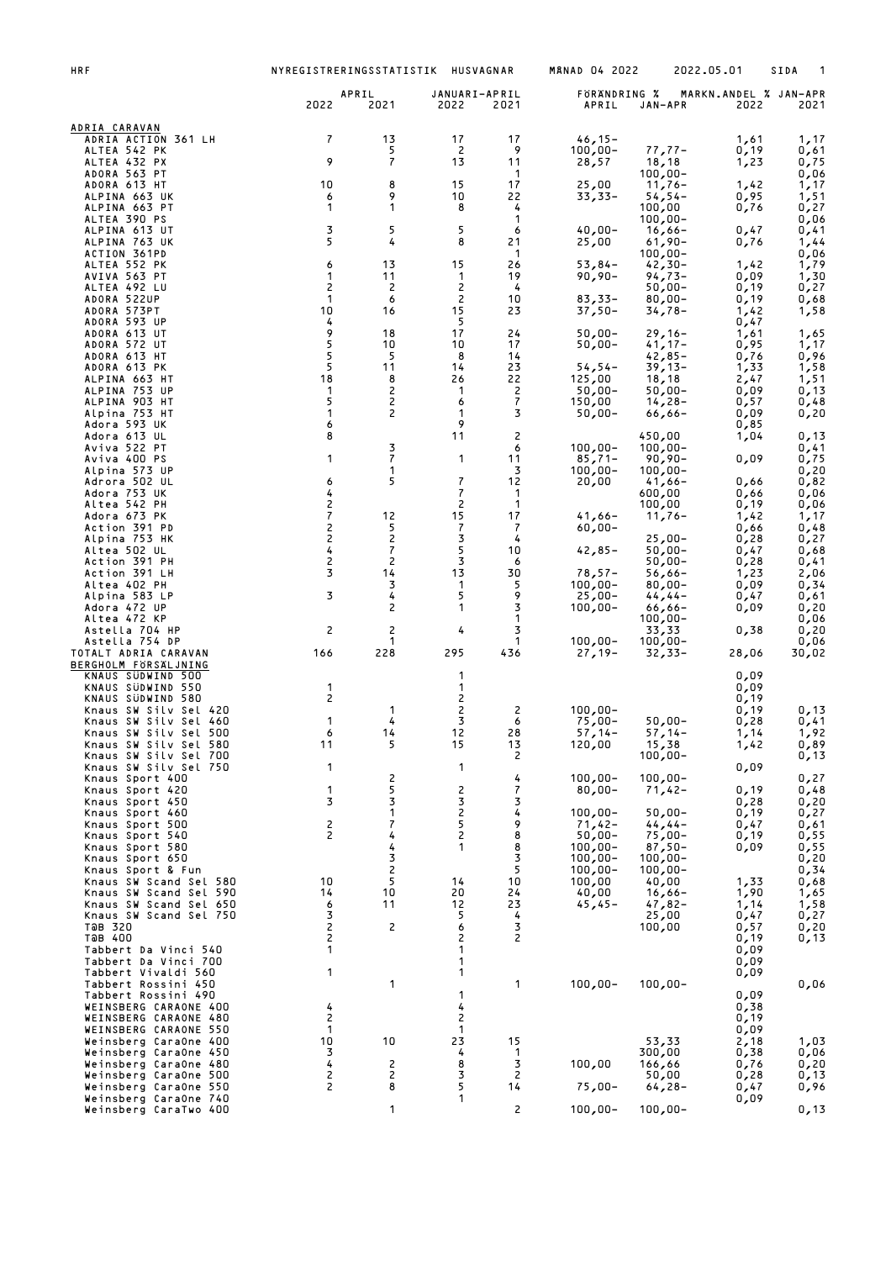| <b>HRF</b>                                       | NYREGISTRERINGSSTATISTIK HUSVAGNAR         |                      |                          |                     | <b>MANAD 04 2022</b>    | 2022.05.01              |              | SIDA                          |
|--------------------------------------------------|--------------------------------------------|----------------------|--------------------------|---------------------|-------------------------|-------------------------|--------------|-------------------------------|
|                                                  | 2022                                       | APRIL<br>2021        | JANUARI-APRIL<br>2022    | 2021                | FORANDRING %<br>APRIL   | JAN-APR                 | 2022         | MARKN.ANDEL % JAN-APR<br>2021 |
| ADRIA CARAVAN                                    |                                            |                      |                          |                     |                         |                         |              |                               |
| ADRIA ACTION 361 LH<br>ALTEA 542 PK              | 7                                          | 13<br>5              | 17<br>2                  | 17<br>9             | $46,15-$<br>$100,00 -$  | $77,77-$                | 1,61<br>0,19 | 1,17<br>0,61                  |
| ALTEA 432 PX<br>ADORA 563 PT                     | 9                                          | $\overline{7}$       | 13                       | 11<br>-1            | 28,57                   | 18,18<br>$100,00 -$     | 1,23         | 0,75<br>0,06                  |
| ADORA 613 HT                                     | 10                                         | 8                    | 15                       | 17                  | 25,00                   | $11,76-$                | 1,42         | 1,17                          |
| ALPINA 663 UK<br>ALPINA 663 PT                   | 6<br>1                                     | 9<br>1               | 10<br>8                  | 22<br>4             | $33,33-$                | $54, 54 -$<br>100,00    | 0,95<br>0,76 | 1,51<br>0,27                  |
| ALTEA 390 PS<br>ALPINA 613 UT                    | 3                                          | 5                    | 5                        | 1<br>6              | $40,00 -$               | $100,00 -$<br>$16,66-$  | 0,47         | 0,06<br>0,41                  |
| ALPINA 763 UK                                    | 5                                          | 4                    | 8                        | 21                  | 25,00                   | $61,90 -$               | 0,76         | 1,44                          |
| ACTION 361PD<br>ALTEA 552 PK                     | 6                                          | 13                   | 15                       | -1<br>26            | $53,84-$                | $100,00 -$<br>$42,30-$  | 1,42         | 0,06<br>1,79                  |
| AVIVA 563 PT<br>ALTEA 492 LU                     | 1<br>$\overline{c}$                        | 11<br>2              | 1<br>2                   | 19<br>4             | $90,90 -$               | $94,73-$<br>$50,00 -$   | 0,09<br>0,19 | 1,30<br>0,27                  |
| ADORA 522UP                                      | 1<br>10                                    | 6                    | 2<br>15                  | 10                  | $83,33-$                | $80,00 -$               | 0,19         | 0,68                          |
| ADORA 573PT<br>ADORA 593 UP                      | 4                                          | 16                   | 5                        | 23                  | $37,50-$                | $34,78-$                | 1,42<br>0,47 | 1,58                          |
| ADORA 613 UT<br>ADORA 572 UT                     | 9<br>5                                     | 18<br>10             | 17<br>10                 | 24<br>17            | $50,00 -$<br>$50,00 -$  | $29,16-$<br>$41,17-$    | 1,61<br>0,95 | 1,65<br>1,17                  |
| ADORA 613 HT                                     | 5<br>5                                     | 5<br>11              | 8<br>14                  | 14<br>23            |                         | $42,85-$                | 0,76         | 0,96                          |
| ADORA 613 PK<br>ALPINA 663 HT                    | 18                                         | 8                    | 26                       | 22                  | $54, 54 -$<br>125,00    | $39,13-$<br>18, 18      | 1,33<br>2,47 | $\frac{1}{1}$ , 58            |
| ALPINA 753 UP<br>ALPINA 903 HT                   | 1<br>5                                     | $\overline{c}$<br>2  | 1<br>6                   | $\overline{c}$<br>7 | $50,00 -$<br>150,00     | $50,00 -$<br>$14,28-$   | 0,09<br>0,57 | 0,13<br>0,48                  |
| Alpina 753 HT<br>Adora 593 UK                    | 1<br>6                                     | 2                    | 1<br>9                   | 3                   | $50,00 -$               | $66,66-$                | 0,09<br>0,85 | 0,20                          |
| Adora 613 UL                                     | 8                                          |                      | 11                       | 2                   |                         | 450,00                  | 1,04         | 0,13                          |
| Aviva 522 PT<br>Aviva 400 PS                     | 1                                          | 3<br>$\overline{7}$  | 1                        | 6<br>11             | $100,00 -$<br>$85,71-$  | $100,00 -$<br>$90,90 -$ | 0,09         | 0,41<br>0,75                  |
| Alpina 573 UP<br>Adrora 502 UL                   | 6                                          | 1<br>5               | $\overline{\mathcal{L}}$ | 3<br>12             | $100,00 -$<br>20,00     | $100,00 -$<br>$41,66-$  | 0,66         | 0,20<br>0,82                  |
| Adora 753 UK                                     | 4                                          |                      | 7                        | $\mathbf 1$         |                         | 600,00                  | 0,66         | 0,06                          |
| Altea 542 PH<br>Adora 673 PK                     | $\frac{2}{7}$                              | 12                   | 2<br>15                  | 1<br>17             | $41,66 -$               | 100,00<br>$11,76-$      | 0,19<br>1,42 | 0,06<br>1,17                  |
| Action 391 PD<br>Alpina 753 HK                   | $\begin{array}{c} 2 \\ 2 \\ 4 \end{array}$ | 5<br>$\overline{c}$  | 7<br>3                   | 7<br>4              | $60,00 -$               | $25,00-$                | 0,66<br>0,28 | 0,48<br>0,27                  |
| Altea 502 UL                                     |                                            | 7                    | 5                        | 10                  | $42,85 -$               | $50,00 -$               | 0,47         | 0,68                          |
| Action 391 PH<br>Action 391 LH                   | 2<br>3                                     | $\overline{c}$<br>14 | 3<br>13                  | 6<br>30             | $78,57-$                | $50,00 -$<br>$56,66-$   | 0,28<br>1,23 | 0,41<br>2,06                  |
| Altea 402 PH<br>Alpina 583 LP                    | 3                                          | 3<br>4               | 1<br>5                   | 5<br>9              | $100,00 -$<br>$25,00-$  | $80,00 -$<br>$44, 44-$  | 0,09<br>0,47 | 0,34<br>0,61                  |
| Adora 472 UP                                     |                                            | 2                    | 1                        | 3                   | $100,00 -$              | $66,66-$                | 0,09         | 0,20                          |
| Altea 472 KP<br>Astella 704 HP                   | 2                                          | $\overline{c}$       | 4                        | 1<br>3              |                         | $100,00 -$<br>33,33     | 0,38         | 0,06<br>0,20                  |
| Astella 754 DP<br>TOTALT ADRIA CARAVAN           | 166                                        | 1<br>228             | 295                      | $\mathbf 1$<br>436  | $100,00 -$<br>$27,19-$  | $100,00 -$<br>$32,33-$  | 28,06        | 0,06<br>30,02                 |
| BERGHOLM FORSALJNING                             |                                            |                      |                          |                     |                         |                         |              |                               |
| KNAUS SÜDWIND 500<br>KNAUS SUDWIND 550           | $\mathbf{1}$                               |                      | 1<br>1                   |                     |                         |                         | 0,09<br>0,09 |                               |
| KNAUS SÜDWIND 580<br>Knaus SW Silv Sel 420       | 2                                          | 1                    | 2<br>2                   | 2                   | $100,00 -$              |                         | 0,19<br>0,19 | 0,13                          |
| Knaus SW Silv Sel 460<br>Knaus SW Silv Sel 500   | 1<br>6                                     | 4<br>14              | 3<br>12                  | 6<br>28             | $75,00-$<br>$57,14-$    | $50,00 -$<br>$57,14-$   | 0,28<br>1,14 | 0,41<br>1,92                  |
| Knaus SW Silv Sel 580                            | 11                                         | 5                    | 15                       | 13                  | 120,00                  | 15,38                   | 1,42         | 0,89                          |
| Knaus SW Silv Sel 700<br>Knaus SW Silv Sel 750   | 1                                          |                      | 1                        | 2                   |                         | $100,00 -$              | 0,09         | 0,13                          |
| Knaus Sport 400<br>Knaus Sport 420               | 1                                          | 2<br>5               | 2                        | 4<br>7              | $100,00 -$<br>$80,00 -$ | $100,00 -$<br>$71,42-$  | 0,19         | 0,27<br>0,48                  |
| Knaus Sport 450                                  | 3                                          | 3<br>1               | 3                        | 3<br>4              |                         |                         | 0,28         | 0,20                          |
| Knaus Sport 460<br>Knaus Sport 500               | 2                                          | 7                    | $\frac{2}{5}$            | 9                   | $100,00 -$<br>$71,42-$  | $50,00 -$<br>$44, 44-$  | 0,19<br>0,47 | 0,27<br>0,61                  |
| Knaus Sport 540<br>Knaus Sport 580               | 2                                          | 4<br>4               | $\mathsf{S}$<br>1        | 8<br>8              | $50,00 -$<br>$100,00 -$ | $75,00 -$<br>$87,50 -$  | 0,19<br>0,09 | 0,55<br>0,55                  |
| Knaus Sport 650                                  |                                            | 3<br>$\overline{c}$  |                          | 3<br>5              | $100,00 -$              | $100,00 -$              |              | 0,20<br>0,34                  |
| Knaus Sport & Fun<br>Knaus SW Scand Sel 580      | 10                                         | 5                    | 14                       | 10                  | $100,00 -$<br>100,00    | $100,00 -$<br>40,00     | 1,33         | 0,68                          |
| Knaus SW Scand Sel 590<br>Knaus SW Scand Sel 650 | 14<br>6                                    | 10<br>11             | 20<br>12                 | 24<br>23            | 40,00<br>$45,45-$       | $16,66-$<br>47,82-      | 1,90<br>1,14 | 1,65<br>1,58                  |
| Knaus SW Scand Sel 750<br>TOB 320                | 3<br>$\overline{c}$                        | 2                    | 5<br>6                   | 4<br>3              |                         | 25,00<br>100,00         | 0,47<br>0,57 | 0,27<br>0,20                  |
| ТӘВ 400                                          | 2                                          |                      | 2                        | 2                   |                         |                         | 0,19         | 0,13                          |
| Tabbert Da Vinci 540<br>Tabbert Da Vinci 700     | 1                                          |                      | 1<br>1                   |                     |                         |                         | 0,09<br>0,09 |                               |
| Tabbert Vivaldi 560<br>Tabbert Rossini 450       | 1                                          | 1                    | 1                        | 1                   | $100,00 -$              | $100,00 -$              | 0,09         | 0,06                          |
| Tabbert Rossini 490                              |                                            |                      | 1                        |                     |                         |                         | 0,09         |                               |
| WEINSBERG CARAONE 400<br>WEINSBERG CARAONE 480   | 4<br>2                                     |                      | 4<br>2                   |                     |                         |                         | 0,38<br>0,19 |                               |
| WEINSBERG CARAONE 550<br>Weinsberg CaraOne 400   | 1<br>10                                    | 10                   | $\mathbf{1}$<br>23       | 15                  |                         | 53,33                   | 0,09<br>2,18 | 1,03                          |
| Weinsberg CaraOne 450                            | 3                                          |                      | 4                        | $\mathbf{1}$        |                         | 300,00                  | 0,38         | 0,06                          |
| Weinsberg CaraOne 480<br>Weinsberg CaraOne 500   | 4<br>2                                     | $\overline{c}$<br>2  | 8<br>3                   | 3<br>$\overline{c}$ | 100,00                  | 166,66<br>50,00         | 0,76<br>0,28 | 0, 20<br>0,13                 |
| Weinsberg CaraOne 550<br>Weinsberg CaraOne 740   | 2                                          | 8                    | 5<br>1                   | 14                  | $75,00-$                | $64,28-$                | 0,47<br>0,09 | 0,96                          |
| Weinsberg CaraTwo 400                            |                                            | 1                    |                          | 2                   | $100,00 -$              | $100,00 -$              |              | 0,13                          |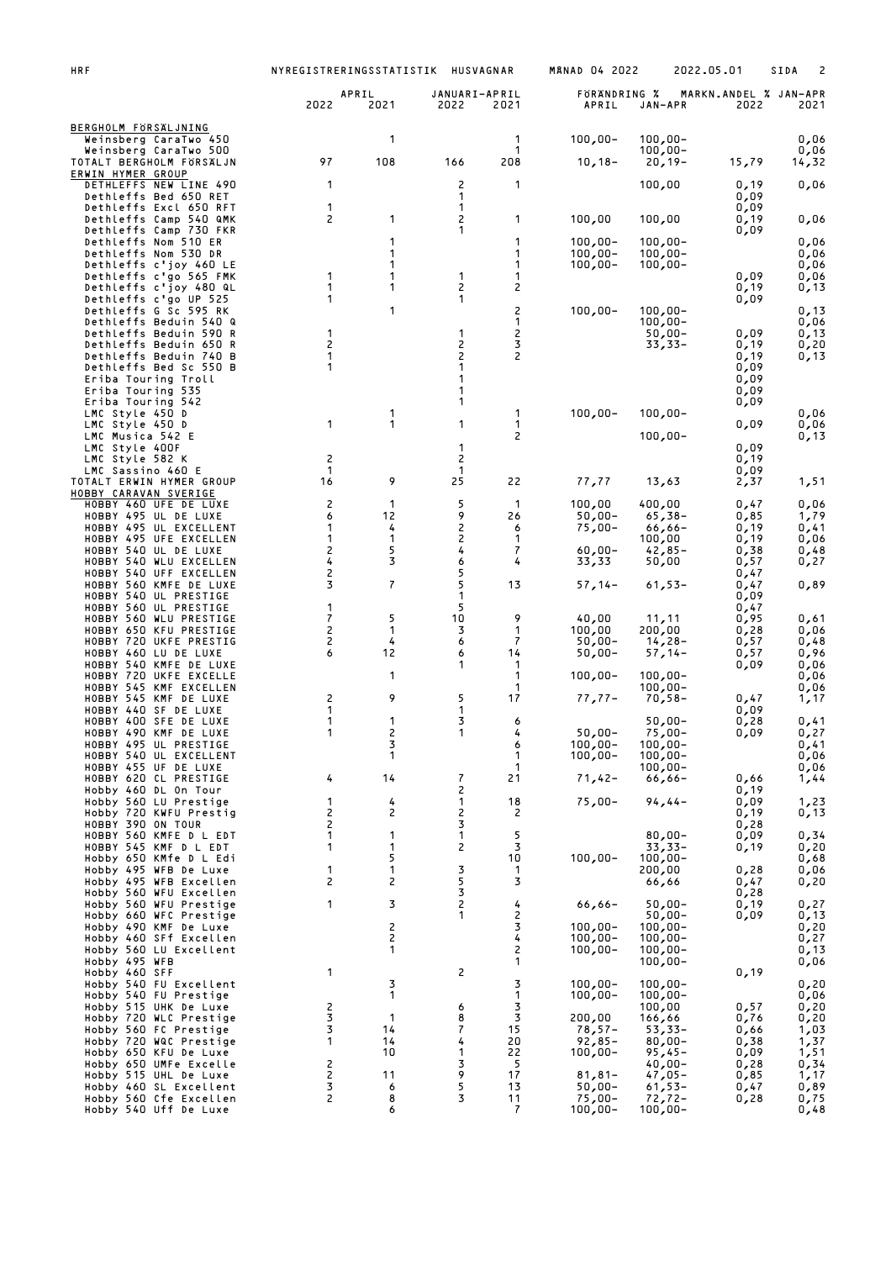| <b>HRF</b>                                                                | NYREGISTRERINGSSTATISTIK     |                    |                       | HUSVAGNAR            | <b>MANAD 04 2022</b>     |                          | 2022.05.01                    | SIDA<br>2     |
|---------------------------------------------------------------------------|------------------------------|--------------------|-----------------------|----------------------|--------------------------|--------------------------|-------------------------------|---------------|
|                                                                           | 2022                         | APRIL<br>2021      | JANUARI-APRIL<br>2022 | 2021                 | FORANDRING %<br>APRIL    | JAN-APR                  | MARKN.ANDEL % JAN-APR<br>2022 | 2021          |
| BERGHOLM FORSALJNING<br>Weinsberg CaraTwo 450                             |                              | 1                  |                       | 1                    | $100,00 -$               | $100,00 -$               |                               | 0,06          |
| Weinsberg CaraTwo 500<br>TOTALT BERGHOLM FORSALJN                         | 97                           | 108                | 166                   | 1<br>208             | $10, 18 -$               | $100,00 -$<br>$20,19-$   | 15,79                         | 0,06<br>14,32 |
| ERWIN HYMER GROUP<br>DETHLEFFS NEW LINE 490                               | 1                            |                    | 2                     | 1                    |                          | 100,00                   | 0,19                          | 0,06          |
| Dethleffs Bed 650 RET<br>Dethleffs Excl 650 RFT                           | 1                            |                    | 1<br>1                |                      |                          |                          | 0,09<br>0,09                  |               |
| Dethleffs Camp 540 QMK<br>Dethleffs Camp 730 FKR                          | 2                            | 1                  | 2<br>1                | 1                    | 100,00                   | 100,00                   | 0,19<br>0,09                  | 0,06          |
| Dethleffs Nom 510 ER<br>Dethleffs Nom 530 DR                              |                              | 1<br>1             |                       | 1<br>1               | $100,00 -$<br>$100,00 -$ | $100,00 -$<br>$100,00 -$ |                               | 0,06<br>0,06  |
| Dethleffs c'joy 460 LE<br>Dethleffs c'go 565 FMK                          | 1                            | 1<br>1             | 1                     | 1<br>1               | $100,00 -$               | $100,00 -$               | 0,09                          | 0,06<br>0,06  |
| Dethleffs c'joy 480 QL<br>Dethleffs c'go UP 525                           | 1<br>1                       | 1                  | 2<br>1                | 2                    |                          |                          | 0,19<br>0,09                  | 0,13          |
| Dethleffs G Sc 595 RK<br>Dethleffs Beduin 540 Q                           |                              | 1                  |                       | 2<br>1               | $100,00 -$               | $100,00 -$<br>$100,00 -$ |                               | 0,13<br>0,06  |
| Dethleffs Beduin 590 R<br>Dethleffs Beduin 650 R                          | 1<br>2                       |                    | 1<br>2                | 2<br>3               |                          | $50,00 -$<br>33,33–      | 0,09<br>0,19                  | 0,13<br>0,20  |
| Dethleffs Beduin 740 B<br>Dethleffs Bed Sc 550 B                          | 1<br>1                       |                    | 2<br>1                | 2                    |                          |                          | 0,19<br>0,09                  | 0,13          |
| Eriba Touring Troll<br>Eriba Touring 535                                  |                              |                    | 1<br>1                |                      |                          |                          | 0,09<br>0,09                  |               |
| Eriba Touring 542<br>LMC Style 450 D                                      |                              | 1                  | 1                     | 1                    | $100,00 -$               | $100,00 -$               | 0,09                          | 0,06          |
| LMC Style 450 D                                                           | 1                            | 1                  | 1                     | 1                    |                          |                          | 0,09                          | 0,06          |
| LMC Musica 542 E<br>LMC Style 400F                                        |                              |                    | 1                     | 2                    |                          | $100,00 -$               | 0,09                          | 0,13          |
| LMC Style 582 K<br>LMC Sassino 460 E                                      | $\overline{c}$<br>1          |                    | 2<br>1                |                      |                          |                          | 0,19<br>0,09                  |               |
| TOTALT ERWIN HYMER GROUP<br>HOBBY CARAVAN SVERIGE                         | 16                           | 9                  | 25                    | 22                   | 77,77                    | 13,63                    | 2,37                          | 1,51          |
| HOBBY 460 UFE DE LUXE<br>HOBBY 495 UL DE LUXE                             | 2<br>6                       | 1<br>12            | 5<br>9                | -1<br>26             | 100,00<br>$50,00 -$      | 400,00<br>$65,38-$       | 0,47<br>0,85                  | 0,06<br>1,79  |
| HOBBY 495 UL EXCELLENT<br>HOBBY 495 UFE EXCELLEN                          | 1<br>1                       | 4<br>1             | 2<br>2                | 6<br>1               | $75,00-$                 | $66,66-$<br>100,00       | 0,19<br>0,19                  | 0,41<br>0,06  |
| HOBBY 540 UL DE LUXE<br>HOBBY 540 WLU EXCELLEN                            | 2<br>4                       | 5<br>3             | 4<br>6                | 7<br>4               | $60,00 -$<br>33,33       | $42,85 -$<br>50,00       | 0,38<br>0,57                  | 0,48<br>0,27  |
| HOBBY 540 UFF EXCELLEN<br>HOBBY 560 KMFE DE LUXE                          | $\overline{\mathbf{c}}$<br>3 | 7                  | 5<br>5                | 13                   | $57,14-$                 | $61,53-$                 | 0,47<br>0,47                  | 0,89          |
| HOBBY 540 UL PRESTIGE<br>HOBBY 560 UL PRESTIGE                            | 1                            |                    | 1<br>5                |                      |                          |                          | 0,09<br>0,47                  |               |
| HOBBY 560 WLU PRESTIGE<br>HOBBY 650 KFU PRESTIGE                          | 7<br>2                       | 5<br>1             | 10<br>3               | 9<br>1               | 40,00<br>100,00          | 11,11<br>200,00          | 0,95<br>0,28                  | 0,61<br>0,06  |
| HOBBY 720 UKFE PRESTIG<br>HOBBY 460 LU DE LUXE                            | 2<br>6                       | 4<br>12            | 6<br>6                | 7<br>14              | $50,00 -$<br>$50,00 -$   | $14,28-$<br>$57,14-$     | 0,57<br>0,57                  | 0,48<br>0,96  |
| HOBBY 540 KMFE DE LUXE<br>HOBBY 720 UKFE EXCELLE                          |                              | 1                  | 1                     | -1<br>1              | $100,00 -$               | $100,00 -$               | 0,09                          | 0,06<br>0,06  |
| HOBBY 545 KMF EXCELLEN<br>HOBBY 545 KMF DE LUXE                           | 2                            | 9                  | 5                     | 1<br>17              | $77,77-$                 | $100,00 -$<br>$70,58-$   | 0,47                          | 0,06<br>1,17  |
| HOBBY 440 SF DE LUXE<br>HOBBY 400 SFE DE LUXE                             | 1<br>1                       | 1                  | 1<br>3                | 6                    |                          | $50,00 -$                | 0,09<br>0,28                  | 0,41          |
| HOBBY 490 KMF DE LUXE<br>HOBBY 495 UL PRESTIGE                            | 1                            | 2<br>3             | 1                     | 7.<br>6              | $50,00 -$<br>$100,00 -$  | $75,00-$<br>$100,00 -$   | 0,09                          | 0,27<br>0,41  |
| HOBBY 540 UL EXCELLENT<br>HOBBY 455 UF DE LUXE                            |                              | 1                  |                       | 1<br>$\mathbf{1}$    | $100,00 -$               | $100,00 -$<br>$100,00 -$ |                               | 0,06<br>0,06  |
| HOBBY 620 CL PRESTIGE<br>Hobby 460 DL On Tour                             | 4                            | 14                 | 7<br>2                | 21                   | $71,42-$                 | -66,66                   | 0,66<br>0,19                  | 1,44          |
| Hobby 560 LU Prestige<br>Hobby 720 KWFU Prestig                           | 1<br>2                       | 4<br>2             | 1<br>2                | 18<br>$\overline{c}$ | $75,00-$                 | $94,44-$                 | 0,09<br>0,19                  | 1,23<br>0,13  |
| HOBBY 390 ON TOUR<br>HOBBY 560 KMFE D L EDT                               | $\overline{c}$<br>1          | 1                  | 3<br>1                | 5                    |                          | $80,00 -$                | 0,28<br>0,09                  |               |
| HOBBY 545 KMF D L EDT                                                     | 1                            | 1<br>5             | 2                     | 3<br>10              | $100,00 -$               | $33,33-$<br>$100,00 -$   | 0,19                          | 0,34<br>0,20  |
| Hobby 650 KMfe D L Edi<br>Hobby 495 WFB De Luxe<br>Hobby 495 WFB Excellen | 1<br>$\overline{c}$          | 1                  | 3                     | $\mathbf 1$<br>3     |                          | 200,00                   | 0,28                          | 0,68<br>0,06  |
| Hobby 560 WFU Excellen                                                    | 1                            | $\overline{c}$     | 5<br>3                |                      |                          | 66,66                    | 0,47<br>0,28                  | 0, 20         |
| Hobby 560 WFU Prestige<br>Hobby 660 WFC Prestige                          |                              | 3                  | $\overline{c}$<br>1   | 4<br>2               | $66,66 -$                | $50,00 -$<br>$50,00 -$   | 0,19<br>0,09                  | 0,27<br>0,13  |
| Hobby 490 KMF De Luxe<br>Hobby 460 SFf Excellen                           |                              | 2<br>2             |                       | 3<br>4               | $100,00 -$<br>$100,00 -$ | $100,00 -$<br>$100,00 -$ |                               | 0,20<br>0,27  |
| Hobby 560 LU Excellent<br>Hobby 495 WFB                                   |                              | 1                  |                       | 2<br>1               | $100,00 -$               | $100,00 -$<br>$100,00 -$ |                               | 0,13<br>0,06  |
| Hobby 460 SFF<br>Hobby 540 FU Excellent                                   | 1                            | 3                  | 2                     | 3                    | $100,00 -$               | $100,00 -$               | 0,19                          | 0,20          |
| Hobby 540 FU Prestige<br>Hobby 515 UHK De Luxe                            | $\overline{c}$               | 1                  | 6                     | 1<br>3               | $100,00 -$               | $100,00 -$<br>100,00     | 0,57                          | 0,06<br>0,20  |
| Hobby 720 WLC Prestige<br>Hobby 560 FC Prestige                           | 3<br>3                       | $\mathbf{1}$<br>14 | 8<br>7                | 3<br>15              | 200,00<br>$78,57-$       | 66, 166<br>$53,33-$      | 0,76<br>0,66                  | 0,20<br>1,03  |
| Hobby 720 WQC Prestige<br>Hobby 650 KFU De Luxe                           | 1                            | 14<br>10           | 4<br>1                | 20<br>22             | $92,85-$<br>$100,00 -$   | $80,00 -$<br>$95,45 -$   | 0,38<br>0,09                  | 1,37<br>1,51  |
| Hobby 650 UMFe Excelle<br>Hobby 515 UHL De Luxe                           | 2<br>$\mathsf{S}$            | 11                 | 3<br>9                | 5<br>17              | $81,81-$                 | $40,00 -$<br>$47,05 -$   | 0,28<br>0,85                  | 0,34<br>1,17  |
| Hobby 460 SL Excellent<br>Hobby 560 Cfe Excellen                          | 3<br>2                       | 6<br>8             | 5<br>3                | 13<br>11             | $50,00 -$<br>$75,00-$    | $61,53-$<br>$72,72-$     | 0,47<br>0,28                  | 0,89<br>0,75  |
| Hobby 540 Uff De Luxe                                                     |                              | 6                  |                       | $\overline{7}$       | $100,00 -$               | $100,00 -$               |                               | 0,48          |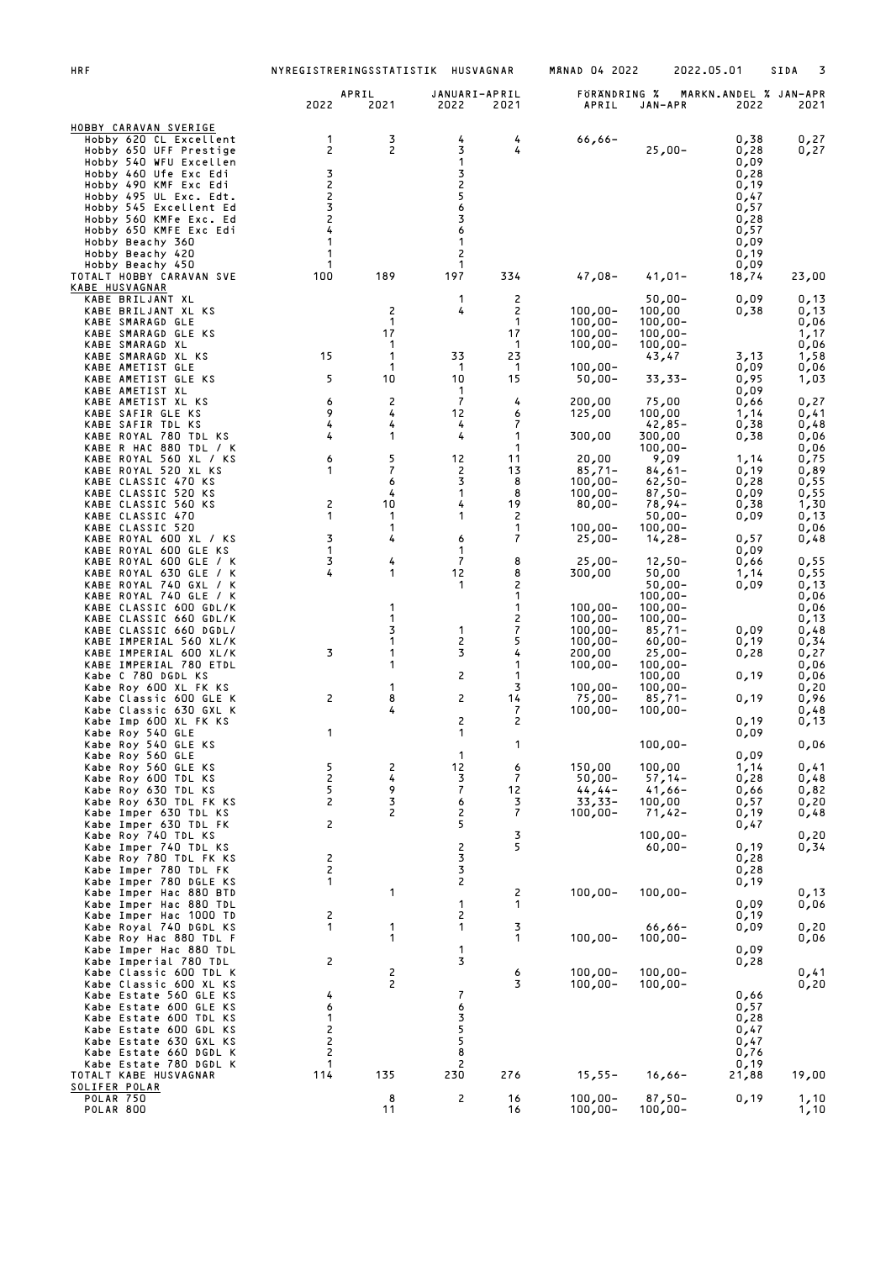| HRF                                                                                                                                                                                                                                                                                                                                                                   |                                                       | NYREGISTRERINGSSTATISTIK                                 |                                                           | HUSVAGNAR                                                         | <b>MANAD 04 2022</b>                                                                                                         |                                                                                                                                                                 | 2022.05.01                                                                                   | SIDA<br>3                                                                                            |
|-----------------------------------------------------------------------------------------------------------------------------------------------------------------------------------------------------------------------------------------------------------------------------------------------------------------------------------------------------------------------|-------------------------------------------------------|----------------------------------------------------------|-----------------------------------------------------------|-------------------------------------------------------------------|------------------------------------------------------------------------------------------------------------------------------|-----------------------------------------------------------------------------------------------------------------------------------------------------------------|----------------------------------------------------------------------------------------------|------------------------------------------------------------------------------------------------------|
|                                                                                                                                                                                                                                                                                                                                                                       | 2022                                                  | APRIL<br>2021                                            | JANUARI-APRIL<br>2022                                     | 2021                                                              | FÖRÄNDRING %<br>APRIL                                                                                                        | JAN-APR                                                                                                                                                         | MARKN.ANDEL % JAN-APR<br>2022                                                                | 2021                                                                                                 |
| <u>HOBBY CARAVAN SVERIGE</u><br>Hobby 620 CL Excellent<br>Hobby 650 UFF Prestige<br>Hobby 540 WFU Excellen<br>Hobby 460 Ufe Exc Edi<br>Hobby 490 KMF Exc Edi<br>Hobby 495 UL Exc. Edt.<br>Hobby 545 Excellent Ed<br>Hobby 560 KMFe Exc. Ed<br>Hobby 650 KMFE Exc Edi<br>Hobby Beachy 360<br>Hobby Beachy 420<br>Hobby Beachy 450                                      | 1<br>2<br>3<br>2<br>2<br>3<br>2<br>4<br>1<br>1<br>1   | 3<br>2                                                   | 4<br>3<br>1<br>3<br>2<br>5<br>6<br>3<br>6<br>1<br>2<br>1  | 4<br>4                                                            | $66,66 -$                                                                                                                    | $25,00-$                                                                                                                                                        | 0,38<br>0,28<br>0,09<br>0,28<br>0,19<br>0,47<br>0,57<br>0,28<br>0,57<br>0,09<br>0,19<br>0,09 | 0,27<br>0,27                                                                                         |
| TOTALT HOBBY CARAVAN SVE<br>KABE HUSVAGNAR                                                                                                                                                                                                                                                                                                                            | 100                                                   | 189                                                      | 197<br>1                                                  | 334                                                               | $47,08-$                                                                                                                     | $41,01-$                                                                                                                                                        | 18,74                                                                                        | 23,00                                                                                                |
| KABE BRILJANT XL<br>KABE BRILJANT XL KS<br>KABE SMARAGD GLE<br>KABE SMARAGD GLE KS<br>KABE SMARAGD XL<br>KABE SMARAGD XL KS<br>KABE AMETIST GLE<br>KABE AMETIST GLE KS<br>KABE AMETIST XL<br>KABE AMETIST XL KS<br>KABE SAFIR GLE KS                                                                                                                                  | 15<br>5<br>6<br>9                                     | 2<br>$\mathbf{1}$<br>17<br>1<br>-1<br>-1<br>10<br>2<br>4 | 4<br>33<br>$\mathbf{1}$<br>10<br>1<br>7<br>12             | 2<br>2<br>1<br>17<br>-1<br>23<br>$\mathbf{1}$<br>15<br>4<br>6     | $100,00 -$<br>$100,00 -$<br>$100,00 -$<br>$100,00 -$<br>$100,00 -$<br>$50,00 -$<br>200,00<br>125,00                          | $50,00 -$<br>100,00<br>$100,00 -$<br>$100,00 -$<br>$100,00 -$<br>43,47<br>33,33-<br>75,00<br>100,00                                                             | 0,09<br>0,38<br>3,13<br>0,09<br>0,95<br>0,09<br>0,66<br>1,14                                 | 0,13<br>0,13<br>0,06<br>1,17<br>0,06<br>1,58<br>0,06<br>1,03<br>0,27<br>0,41                         |
| KABE SAFIR TDL KS<br>KABE ROYAL 780 TDL KS<br>KABE R HAC 880 TDL / K<br>KABE ROYAL 560 XL / KS<br>KABE ROYAL 520 XL KS<br>KABE CLASSIC 470 KS<br>KABE CLASSIC 520 KS<br>KABE CLASSIC 560 KS<br>KABE CLASSIC 470<br>KABE CLASSIC 520<br>KABE ROYAL 600 XL / KS                                                                                                         | 4<br>4<br>6<br>1<br>2<br>1<br>3                       | 4<br>1<br>5<br>7<br>6<br>4<br>10<br>1<br>1<br>4          | 4<br>4<br>12<br>2<br>3<br>1<br>4<br>1<br>6                | 7<br>1<br>1<br>11<br>13<br>8<br>8<br>19<br>2<br>1<br>7            | 300,00<br>20,00<br>$85,71-$<br>$100,00 -$<br>$100,00 -$<br>$80,00 -$<br>$100,00 -$<br>$25,00-$                               | 42,85-<br>300,00<br>$100,00 -$<br>9,09<br>$84,61-$<br>$62,50 -$<br>$87,50-$<br>$78,94-$<br>50,00-<br>$100,00 -$<br>$14,28-$                                     | 0,38<br>0,38<br>1,14<br>0,19<br>0,28<br>0,09<br>0,38<br>0,09<br>0,57                         | 0,48<br>0,06<br>0,06<br>0,75<br>0,89<br>0,55<br>0,55<br>1,30<br>0,13<br>0,06<br>0,48                 |
| KABE ROYAL 600 GLE KS<br>KABE ROYAL 600 GLE / K<br>KABE ROYAL 630 GLE<br>7 K<br>KABE ROYAL 740 GXL / K<br>KABE ROYAL 740 GLE / K<br>KABE CLASSIC 600 GDL/K<br>KABE CLASSIC 660 GDL/K<br>KABE CLASSIC 660 DGDL/<br>KABE IMPERIAL 560 XL/K<br>KABE IMPERIAL 600 XL/K<br>KABE IMPERIAL 780 ETDL<br>Kabe C 780 DGDL KS<br>Kabe Roy 600 XL FK KS<br>Kabe Classic 600 GLE K | 1<br>3<br>4<br>3<br>2                                 | 4<br>1<br>1<br>1<br>3<br>1<br>1<br>1<br>1<br>8           | 1<br>$\overline{7}$<br>12<br>1<br>1<br>2<br>3<br>2<br>2   | 8<br>8<br>2<br>1<br>1<br>2<br>7<br>5<br>4<br>1<br>1<br>3<br>14    | $25,00-$<br>300,00<br>$100,00 -$<br>$100,00 -$<br>$100,00 -$<br>$100,00 -$<br>200,00<br>$100,00 -$<br>$100,00 -$<br>$75,00-$ | $12,50-$<br>50,00<br>$50,00 -$<br>$100,00 -$<br>$100,00 -$<br>$100,00 -$<br>$85,71-$<br>$60,00 -$<br>$25,00-$<br>$100,00 -$<br>100,00<br>$100,00 -$<br>$85,71-$ | 0,09<br>0,66<br>1,14<br>0,09<br>0,09<br>0,19<br>0,28<br>0,19<br>0,19                         | 0,55<br>0,55<br>0,13<br>0,06<br>0,06<br>0,13<br>0,48<br>0,34<br>0,27<br>0,06<br>0,06<br>0,20<br>0,96 |
| Kabe Classic 630 GXL K<br>Kabe Imp 600 XL FK KS<br>Kabe Roy 540 GLE<br>Kabe Roy 540 GLE KS<br>Kabe Roy 560 GLE<br>Kabe Roy 560 GLE KS<br>Kabe Roy 600 TDL KS<br>Kabe Roy 630 TDL KS<br>Kabe Roy 630 TDL FK KS<br>Kabe Imper 630 TDL KS<br>Kabe Imper 630 TDL FK<br>Kabe Roy 740 TDL KS                                                                                | 1<br>5<br>2<br>5<br>2<br>2                            | 4<br>2<br>4<br>9<br>3<br>2                               | 2<br>1<br>1<br>12<br>3<br>$\boldsymbol{7}$<br>6<br>2<br>5 | 7<br>2<br>1<br>6<br>$\overline{\mathcal{L}}$<br>12<br>3<br>7<br>3 | $100,00 -$<br>150,00<br>$50,00 -$<br>$44, 44-$<br>$33,33-$<br>$100,00 -$                                                     | $100,00 -$<br>$100,00 -$<br>100,00<br>$57,14-$<br>$41,66 -$<br>100,00<br>$71,42-$<br>$100,00 -$                                                                 | 0,19<br>0,09<br>0,09<br>1,14<br>0,28<br>0,66<br>0,57<br>0,19<br>0,47                         | 0,48<br>0,13<br>0,06<br>0,41<br>0,48<br>0,82<br>0,20<br>0,48                                         |
| Kabe Imper 740 TDL KS<br>Kabe Roy 780 TDL FK KS<br>Kabe Imper 780 TDL FK<br>Kabe Imper 780 DGLE KS<br>Kabe Imper Hac 880 BTD<br>Kabe Imper Hac 880 TDL<br>Kabe Imper Hac 1000 TD                                                                                                                                                                                      | 2<br>2<br>1<br>2                                      | 1                                                        | 2<br>3<br>3<br>$\mathsf{S}$<br>1<br>2                     | 5<br>2<br>1                                                       | $100,00 -$                                                                                                                   | $60,00 -$<br>$100,00 -$                                                                                                                                         | 0,19<br>0,28<br>0,28<br>0,19<br>0,09<br>0,19                                                 | 0,20<br>0,34<br>0,13<br>0,06                                                                         |
| Kabe Royal 740 DGDL KS<br>Kabe Roy Hac 880 TDL F<br>Kabe Imper Hac 880 TDL<br>Kabe Imperial 780 TDL<br>Kabe Classic 600 TDL K                                                                                                                                                                                                                                         | 1<br>2                                                | 1<br>1<br>2                                              | 1<br>1<br>3                                               | 3<br>1<br>6                                                       | $100,00 -$<br>$100,00 -$                                                                                                     | $66,66 -$<br>$100,00 -$<br>$100,00 -$                                                                                                                           | 0,09<br>0,09<br>0,28                                                                         | 0,20<br>0,06<br>0,41                                                                                 |
| Kabe Classic 600 XL KS<br>Kabe Estate 560 GLE KS<br>Kabe Estate 600 GLE KS<br>Kabe Estate 600 TDL KS<br>Kabe Estate 600 GDL KS<br>Kabe Estate 630 GXL KS<br>Kabe Estate 660 DGDL K<br>Kabe Estate 780 DGDL K                                                                                                                                                          | 4<br>6<br>1<br>2<br>$\overline{\mathbf{c}}$<br>2<br>1 | 2                                                        | 7<br>6<br>3<br>5<br>5<br>8<br>2                           | 3                                                                 | $100,00 -$                                                                                                                   | $100,00 -$                                                                                                                                                      | 0,66<br>0,57<br>0,28<br>0,47<br>0,47<br>0,76<br>0,19                                         | 0, 20                                                                                                |
| TOTALT KABE HUSVAGNAR<br>SOLIFER POLAR                                                                                                                                                                                                                                                                                                                                | 114                                                   | 135                                                      | 230                                                       | 276                                                               | $15,55 -$                                                                                                                    | $16,66-$                                                                                                                                                        | 21,88                                                                                        | 19,00                                                                                                |
| <b>POLAR 750</b><br><b>POLAR 800</b>                                                                                                                                                                                                                                                                                                                                  |                                                       | 8<br>11                                                  | 2                                                         | 16<br>16                                                          | $100,00 -$<br>$100,00 -$                                                                                                     | $87,50-$<br>$100,00 -$                                                                                                                                          | 0,19                                                                                         | 1,10<br>1,10                                                                                         |